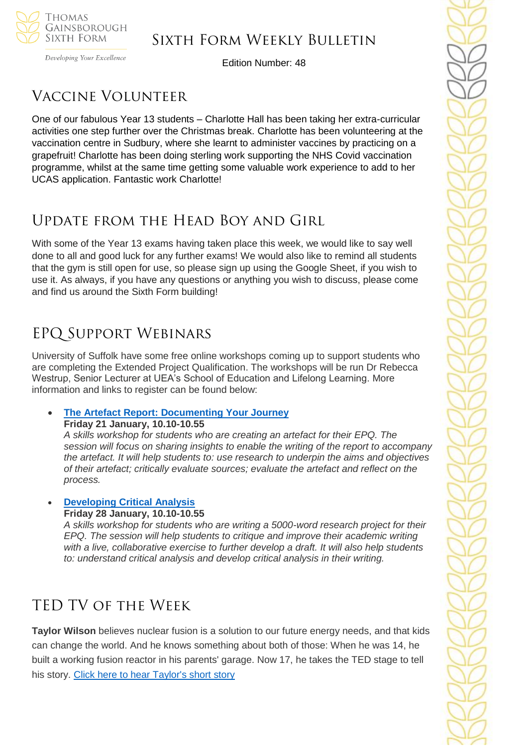

Developing Your Excellence

Edition Number: 48

# Vaccine Volunteer

One of our fabulous Year 13 students – Charlotte Hall has been taking her extra-curricular activities one step further over the Christmas break. Charlotte has been volunteering at the vaccination centre in Sudbury, where she learnt to administer vaccines by practicing on a grapefruit! Charlotte has been doing sterling work supporting the NHS Covid vaccination programme, whilst at the same time getting some valuable work experience to add to her UCAS application. Fantastic work Charlotte!

# Update from the Head Boy and Girl

With some of the Year 13 exams having taken place this week, we would like to say well done to all and good luck for any further exams! We would also like to remind all students that the gym is still open for use, so please sign up using the Google Sheet, if you wish to use it. As always, if you have any questions or anything you wish to discuss, please come and find us around the Sixth Form building!

# EPQ Support Webinars

University of Suffolk have some free online workshops coming up to support students who are completing the Extended Project Qualification. The workshops will be run Dr Rebecca Westrup, Senior Lecturer at UEA's School of Education and Lifelong Learning. More information and links to register can be found below:

## • **The Artefact Report: [Documenting](https://www.channeltalent.co.uk/event/extended-project-qualification-a-skills-insight-university-workshop-the-artefact-report-documenting-your-journey-with-dr-rebecca-westrup-from-university-of-east-anglia/) Your Journey**

**Friday 21 January, 10.10-10.55**

*A skills workshop for students who are creating an artefact for their EPQ. The session will focus on sharing insights to enable the writing of the report to accompany the artefact. It will help students to: use research to underpin the aims and objectives of their artefact; critically evaluate sources; evaluate the artefact and reflect on the process.*

#### • **[Developing](https://www.channeltalent.co.uk/event/extended-project-qualification-a-skills-insight-university-workshop-developing-critical-analysis-with-dr-rebecca-westrup-from-university-of-east-anglia/) Critical Analysis Friday 28 January, 10.10-10.55**

*A skills workshop for students who are writing a 5000-word research project for their EPQ. The session will help students to critique and improve their academic writing with a live, collaborative exercise to further develop a draft. It will also help students to: understand critical analysis and develop critical analysis in their writing.*

# TED TV of the Week

**Taylor Wilson** believes nuclear fusion is a solution to our future energy needs, and that kids can change the world. And he knows something about both of those: When he was 14, he built a working fusion reactor in his parents' garage. Now 17, he takes the TED stage to tell his story. [Click here to hear Taylor's short story](https://www.ted.com/talks/taylor_wilson_yup_i_built_a_nuclear_fusion_reactor?referrer=playlist-ted_under_20)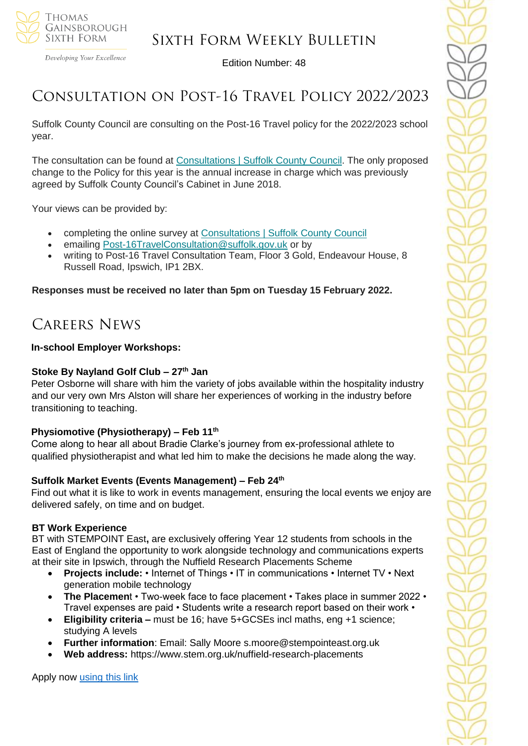

Developing Your Excellence

Edition Number: 48

## Consultation on Post-16 Travel Policy 2022/2023

Suffolk County Council are consulting on the Post-16 Travel policy for the 2022/2023 school year.

The consultation can be found at [Consultations](https://suffolk.us15.list-manage.com/track/click?u=5c2782ab1264cda5bb7f549a9&id=d9136754ac&e=b182dd07e7) | Suffolk County Council. The only proposed change to the Policy for this year is the annual increase in charge which was previously agreed by Suffolk County Council's Cabinet in June 2018.

Your views can be provided by:

- completing the online survey at [Consultations](https://suffolk.us15.list-manage.com/track/click?u=5c2782ab1264cda5bb7f549a9&id=e692770006&e=b182dd07e7) | Suffolk County Council
- emailing [Post-16TravelConsultation@suffolk.gov.uk](mailto:Post-16TravelConsultation@suffolk.gov.uk) or by
- writing to Post-16 Travel Consultation Team, Floor 3 Gold, Endeavour House, 8 Russell Road, Ipswich, IP1 2BX.

**Responses must be received no later than 5pm on Tuesday 15 February 2022.**

## Careers News

#### **In-school Employer Workshops:**

#### **Stoke By Nayland Golf Club – 27th Jan**

Peter Osborne will share with him the variety of jobs available within the hospitality industry and our very own Mrs Alston will share her experiences of working in the industry before transitioning to teaching.

#### **Physiomotive (Physiotherapy) – Feb 11th**

Come along to hear all about Bradie Clarke's journey from ex-professional athlete to qualified physiotherapist and what led him to make the decisions he made along the way.

#### **Suffolk Market Events (Events Management) – Feb 24th**

Find out what it is like to work in events management, ensuring the local events we enjoy are delivered safely, on time and on budget.

### **BT Work Experience**

BT with STEMPOINT East**,** are exclusively offering Year 12 students from schools in the East of England the opportunity to work alongside technology and communications experts at their site in Ipswich, through the Nuffield Research Placements Scheme

- **Projects include:** Internet of Things IT in communications Internet TV Next generation mobile technology
- **The Placement •** Two-week face to face placement Takes place in summer 2022 Travel expenses are paid • Students write a research report based on their work •
- **Eligibility criteria –** must be 16; have 5+GCSEs incl maths, eng +1 science; studying A levels
- **Further information**: Email: Sally Moore s.moore@stempointeast.org.uk
- **Web address:** https://www.stem.org.uk/nuffield-research-placements

Apply now [using this link](http://www.nuffieldresearchplacements.org/)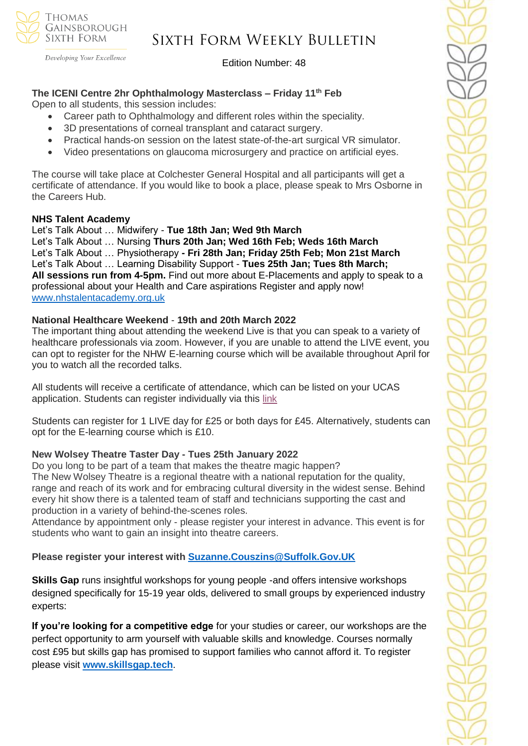

## Sixth Form Weekly Bulletin

Edition Number: 48

## **The ICENI Centre 2hr Ophthalmology Masterclass – Friday 11th Feb**

Open to all students, this session includes:

- Career path to Ophthalmology and different roles within the speciality.
- 3D presentations of corneal transplant and cataract surgery.
- Practical hands-on session on the latest state-of-the-art surgical VR simulator.
- Video presentations on glaucoma microsurgery and practice on artificial eyes.

The course will take place at Colchester General Hospital and all participants will get a certificate of attendance. If you would like to book a place, please speak to Mrs Osborne in the Careers Hub.

### **NHS Talent Academy**

Let's Talk About … Midwifery - **Tue 18th Jan; Wed 9th March**  Let's Talk About … Nursing **Thurs 20th Jan; Wed 16th Feb; Weds 16th March** Let's Talk About … Physiotherapy **- Fri 28th Jan; Friday 25th Feb; Mon 21st March** Let's Talk About … Learning Disability Support - **Tues 25th Jan; Tues 8th March; All sessions run from 4-5pm.** Find out more about E-Placements and apply to speak to a professional about your Health and Care aspirations Register and apply now! [www.nhstalentacademy.org.uk](file://///tgs-sr-data/Staff%20Shared-N/Sixth%20Form/Admin/Weekly%20Bulletin/www.nhstalentacademy.org.uk)

### **National Healthcare Weekend** - **19th and 20th March 2022**

The important thing about attending the weekend Live is that you can speak to a variety of healthcare professionals via zoom. However, if you are unable to attend the LIVE event, you can opt to register for the NHW E-learning course which will be available throughout April for you to watch all the recorded talks.

All students will receive a certificate of attendance, which can be listed on your UCAS application. Students can register individually via this [link](https://alliedhealthmentor.org/national-healthcare-weekend/)

Students can register for 1 LIVE day for £25 or both days for £45. Alternatively, students can opt for the E-learning course which is £10.

### **New Wolsey Theatre Taster Day - Tues 25th January 2022**

Do you long to be part of a team that makes the theatre magic happen? The New Wolsey Theatre is a regional theatre with a national reputation for the quality, range and reach of its work and for embracing cultural diversity in the widest sense. Behind every hit show there is a talented team of staff and technicians supporting the cast and production in a variety of behind-the-scenes roles.

Attendance by appointment only - please register your interest in advance. This event is for students who want to gain an insight into theatre careers.

**Please register your interest with [Suzanne.Couszins@Suffolk.Gov.UK](mailto:Suzanne.Couszins@Suffolk.Gov.UK)**

**Skills Gap** runs insightful workshops for young people -and offers intensive workshops designed specifically for 15-19 year olds, delivered to small groups by experienced industry experts:

**If you're looking for a competitive edge** for your studies or career, our workshops are the perfect opportunity to arm yourself with valuable skills and knowledge. Courses normally cost £95 but skills gap has promised to support families who cannot afford it. To register please visit **[www.skillsgap.tech](http://www.skillsgap.tech/)**.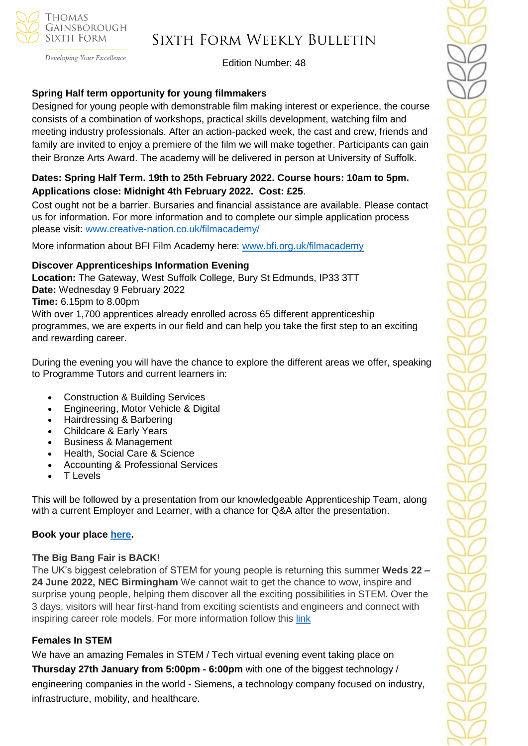

Developing Your Excellence

#### Edition Number: 48

### **Spring Half term opportunity for young filmmakers**

Designed for young people with demonstrable film making interest or experience, the course consists of a combination of workshops, practical skills development, watching film and meeting industry professionals. After an action-packed week, the cast and crew, friends and family are invited to enjoy a premiere of the film we will make together. Participants can gain their Bronze Arts Award. The academy will be delivered in person at University of Suffolk.

### **Dates: Spring Half Term. 19th to 25th February 2022. Course hours: 10am to 5pm. Applications close: Midnight 4th February 2022. Cost: £25**.

Cost ought not be a barrier. Bursaries and financial assistance are available. Please contact us for information. For more information and to complete our simple application process please visit:<www.creative-nation.co.uk/filmacademy/>

More information about BFI Film Academy here: [www.bfi.org.uk/filmacademy](http://www.bfi.org.uk/filmacademy)

#### **Discover Apprenticeships Information Evening**

**Location:** The Gateway, West Suffolk College, Bury St Edmunds, IP33 3TT **Date:** Wednesday 9 February 2022 **Time:** 6.15pm to 8.00pm With over 1,700 apprentices already enrolled across 65 different apprenticeship programmes, we are experts in our field and can help you take the first step to an exciting and rewarding career.

During the evening you will have the chance to explore the different areas we offer, speaking to Programme Tutors and current learners in:

- Construction & Building Services
- Engineering, Motor Vehicle & Digital
- Hairdressing & Barbering
- Childcare & Early Years
- Business & Management
- Health, Social Care & Science
- Accounting & Professional Services
- T Levels

This will be followed by a presentation from our knowledgeable Apprenticeship Team, along with a current Employer and Learner, with a chance for Q&A after the presentation.

### **Book your place [here.](https://www.wsc.ac.uk/about-the-college/events/upcoming-events/9723-discover-apprenticeships-information-evening)**

#### **The Big Bang Fair is BACK!**

The UK's biggest celebration of STEM for young people is returning this summer **Weds 22 – 24 June 2022, NEC Birmingham** We cannot wait to get the chance to wow, inspire and surprise young people, helping them discover all the exciting possibilities in STEM. Over the 3 days, visitors will hear first-hand from exciting scientists and engineers and connect with inspiring career role models. For more information follow this [link](https://www.thebigbang.org.uk/)

### **Females In STEM**

We have an amazing Females in STEM / Tech virtual evening event taking place on **Thursday 27th January from 5:00pm - 6:00pm** with one of the biggest technology / engineering companies in the world - Siemens, a technology company focused on industry, infrastructure, mobility, and healthcare.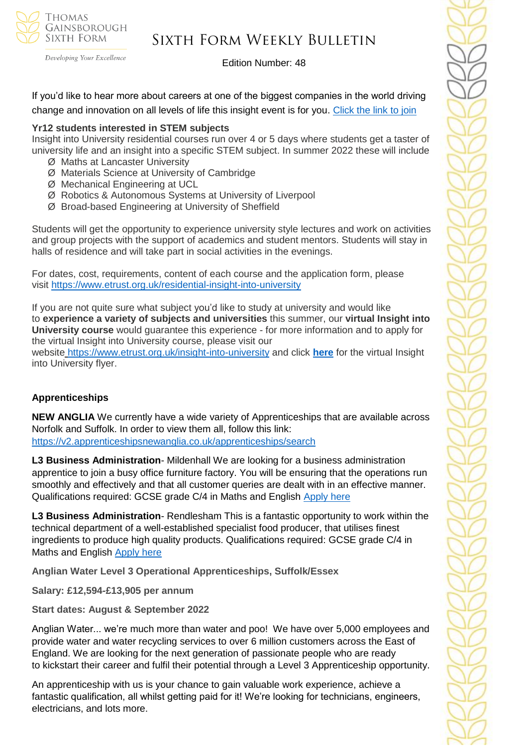

## Sixth Form Weekly Bulletin

Edition Number: 48

If you'd like to hear more about careers at one of the biggest companies in the world driving change and innovation on all levels of life this insight event is for you. [Click the link](https://www.surveymonkey.co.uk/r/Siemens-Event) to join

### **Yr12 students interested in STEM subjects**

Insight into University residential courses run over 4 or 5 days where students get a taster of university life and an insight into a specific STEM subject. In summer 2022 these will include

- Ø Maths at Lancaster University
- Ø Materials Science at University of Cambridge
- Ø Mechanical Engineering at UCL
- Ø Robotics & Autonomous Systems at University of Liverpool
- Ø Broad-based Engineering at University of Sheffield

Students will get the opportunity to experience university style lectures and work on activities and group projects with the support of academics and student mentors. Students will stay in halls of residence and will take part in social activities in the evenings.

For dates, cost, requirements, content of each course and the application form, please visit <https://www.etrust.org.uk/residential-insight-into-university>

If you are not quite sure what subject you'd like to study at university and would like to **experience a variety of subjects and universities** this summer, our **virtual Insight into University course** would guarantee this experience - for more information and to apply for the virtual Insight into University course, please visit our

website <https://www.etrust.org.uk/insight-into-university> and click **[here](https://dd233f6a-c442-4437-a8e1-9e42987b6020.filesusr.com/ugd/4517c8_fcb7add322ae4a1eab2156347e1f2442.pdf)** for the virtual Insight into University flyer.

### **Apprenticeships**

**NEW ANGLIA** We currently have a wide variety of Apprenticeships that are available across Norfolk and Suffolk. In order to view them all, follow this link: <https://v2.apprenticeshipsnewanglia.co.uk/apprenticeships/search>

**L3 Business Administration**- Mildenhall We are looking for a business administration apprentice to join a busy office furniture factory. You will be ensuring that the operations run smoothly and effectively and that all customer queries are dealt with in an effective manner. Qualifications required: GCSE grade C/4 in Maths and English [Apply](https://v2.apprenticeshipsnewanglia.co.uk/applicants/help/?ref=1f79130e-0f74-48f1-bb57-db5acc876f7e) here

**L3 Business Administration**- Rendlesham This is a fantastic opportunity to work within the technical department of a well-established specialist food producer, that utilises finest ingredients to produce high quality products. Qualifications required: GCSE grade C/4 in Maths and English [Apply here](https://v2.apprenticeshipsnewanglia.co.uk/applicants/help/?ref=9f9d3256-115d-49ac-aa1d-fa6239690a77)

**Anglian Water Level 3 Operational Apprenticeships, Suffolk/Essex**

**Salary: £12,594-£13,905 per annum** 

**Start dates: August & September 2022** 

Anglian Water... we're much more than water and poo! We have over 5,000 employees and provide water and water recycling services to over 6 million customers across the East of England. We are looking for the next generation of passionate people who are ready to kickstart their career and fulfil their potential through a Level 3 Apprenticeship opportunity.

An apprenticeship with us is your chance to gain valuable work experience, achieve a fantastic qualification, all whilst getting paid for it! We're looking for technicians, engineers, electricians, and lots more.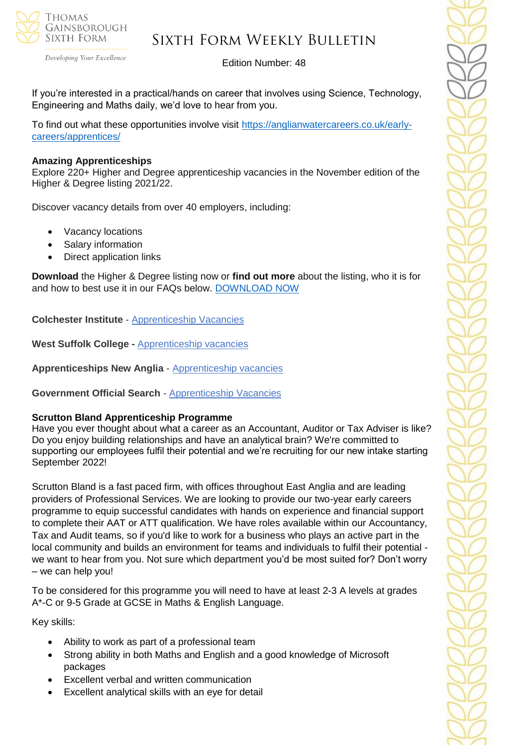

## Sixth Form Weekly Bulletin

Edition Number: 48

If you're interested in a practical/hands on career that involves using Science, Technology, Engineering and Maths daily, we'd love to hear from you.

To find out what these opportunities involve visit [https://anglianwatercareers.co.uk/early](https://anglianwatercareers.co.uk/early-careers/apprentices/)[careers/apprentices/](https://anglianwatercareers.co.uk/early-careers/apprentices/) 

### **Amazing Apprenticeships**

Explore 220+ Higher and Degree apprenticeship vacancies in the November edition of the Higher & Degree listing 2021/22.

Discover vacancy details from over 40 employers, including:

- Vacancy locations
- Salary information
- Direct application links

**Download** the Higher & Degree listing now or **find out more** about the listing, who it is for and how to best use it in our FAQs below. [DOWNLOAD NOW](https://amazingapprenticeships.com/resource/higher-and-degree-listing/)

**Colchester Institute** - Apprenticeship Vacancies

**West Suffolk College -** [Apprenticeship vacancies](https://www.wsc.ac.uk/find-a-course/apprenticeships)

**Apprenticeships New Anglia** - [Apprenticeship vacancies](https://www.apprenticeshipsnewanglia.co.uk/)

**Government Official Search** - [Apprenticeship Vacancies](https://www.gov.uk/apply-apprenticeship)

#### **Scrutton Bland Apprenticeship Programme**

Have you ever thought about what a career as an Accountant, Auditor or Tax Adviser is like? Do you enjoy building relationships and have an analytical brain? We're committed to supporting our employees fulfil their potential and we're recruiting for our new intake starting September 2022!

Scrutton Bland is a fast paced firm, with offices throughout East Anglia and are leading providers of Professional Services. We are looking to provide our two-year early careers programme to equip successful candidates with hands on experience and financial support to complete their AAT or ATT qualification. We have roles available within our Accountancy, Tax and Audit teams, so if you'd like to work for a business who plays an active part in the local community and builds an environment for teams and individuals to fulfil their potential we want to hear from you. Not sure which department you'd be most suited for? Don't worry – we can help you!

To be considered for this programme you will need to have at least 2-3 A levels at grades A\*-C or 9-5 Grade at GCSE in Maths & English Language.

Key skills:

- Ability to work as part of a professional team
- Strong ability in both Maths and English and a good knowledge of Microsoft packages
- Excellent verbal and written communication
- Excellent analytical skills with an eye for detail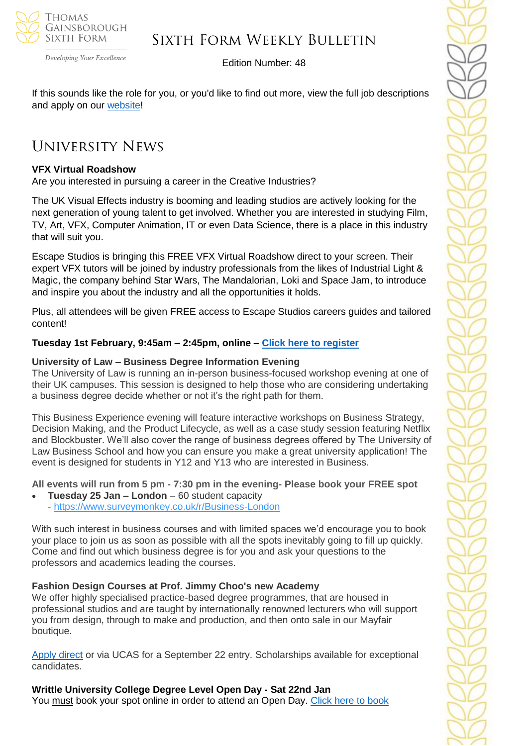

Sixth Form Weekly Bulletin

Edition Number: 48

If this sounds like the role for you, or you'd like to find out more, view the full job descriptions and apply on our [website!](https://www.scruttonbland.co.uk/)

## University News

### **VFX Virtual Roadshow**

Are you interested in pursuing a career in the Creative Industries?

The UK Visual Effects industry is booming and leading studios are actively looking for the next generation of young talent to get involved. Whether you are interested in studying Film, TV, Art, VFX, Computer Animation, IT or even Data Science, there is a place in this industry that will suit you.

Escape Studios is bringing this FREE VFX Virtual Roadshow direct to your screen. Their expert VFX tutors will be joined by industry professionals from the likes of Industrial Light & Magic, the company behind Star Wars, The Mandalorian, Loki and Space Jam, to introduce and inspire you about the industry and all the opportunities it holds.

Plus, all attendees will be given FREE access to Escape Studios careers guides and tailored content!

#### **Tuesday 1st February, 9:45am – 2:45pm, online – [Click here to register](pearsoncollegelondon.ac.uk/escape-studios/visit-us/events/vfx-virtual-roadshows.html?utm_source=unitasterdays&utm_medium=email&utm_campaign=vfx_virtual_roadshow&utm_content=050122)**

#### **University of Law – Business Degree Information Evening**

The University of Law is running an in-person business-focused workshop evening at one of their UK campuses. This session is designed to help those who are considering undertaking a business degree decide whether or not it's the right path for them.

This Business Experience evening will feature interactive workshops on Business Strategy, Decision Making, and the Product Lifecycle, as well as a case study session featuring Netflix and Blockbuster. We'll also cover the range of business degrees offered by The University of Law Business School and how you can ensure you make a great university application! The event is designed for students in Y12 and Y13 who are interested in Business.

**All events will run from 5 pm - 7:30 pm in the evening- Please book your FREE spot**

- **Tuesday 25 Jan – London** 60 student capacity
- <https://www.surveymonkey.co.uk/r/Business-London>

With such interest in business courses and with limited spaces we'd encourage you to book your place to join us as soon as possible with all the spots inevitably going to fill up quickly. Come and find out which business degree is for you and ask your questions to the professors and academics leading the courses.

### **Fashion Design Courses at Prof. Jimmy Choo's new Academy**

We offer highly specialised practice-based degree programmes, that are housed in professional studios and are taught by internationally renowned lecturers who will support you from design, through to make and production, and then onto sale in our Mayfair boutique.

[Apply direct](https://www.jca.ac.uk/jca-london-fashion-academy) or via UCAS for a September 22 entry. Scholarships available for exceptional candidates.

### **Writtle University College Degree Level Open Day - Sat 22nd Jan**

You must book your spot online in order to attend an Open Day. [Click here to book](https://writtle.ac.uk/College-Course-Events)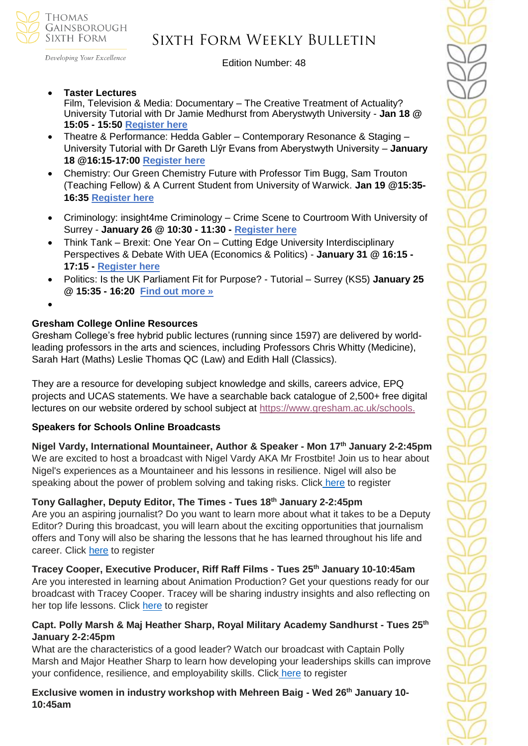

Developing Your Excellence

Edition Number: 48

• **Taster Lectures**

Film, Television & Media: Documentary – The Creative Treatment of Actuality? University Tutorial with Dr Jamie Medhurst from Aberystwyth University - **Jan 18 @ 15:05 - 15:50 [Register here](https://www.eventbrite.co.uk/e/film-television-media-documentary-form-tutorial-aberystwyth-ks5-registration-225356416107?)**

- Theatre & Performance: Hedda Gabler Contemporary Resonance & Staging University Tutorial with Dr Gareth Llŷr Evans from Aberystwyth University – **January 18 @16:15-17:00 [Register here](https://www.eventbrite.co.uk/e/theatre-performance-hedda-gabler-tutorial-aberystwyth-ks5-registration-228778953007?)**
- Chemistry: Our Green Chemistry Future with Professor Tim Bugg, Sam Trouton (Teaching Fellow) & A Current Student from University of Warwick. **Jan 19 @15:35- 16:35 [Register here](https://www.eventbrite.co.uk/e/chemistry-our-green-chemistry-future-with-warwick-ks5-registration-229265016837?)**
- Criminology: insight4me Criminology Crime Scene to Courtroom With University of Surrey - **January 26 @ 10:30 - 11:30 - [Register here](https://www.eventbrite.co.uk/e/insight4me-criminology-crime-scene-to-courtroom-ks5-registration-217958127627?)**
- Think Tank Brexit: One Year On Cutting Edge University Interdisciplinary Perspectives & Debate With UEA (Economics & Politics) - **January 31 @ 16:15 - 17:15 - [Register here](https://www.eventbrite.co.uk/e/brexit-one-year-on-interdisciplinary-university-perspectives-debate-registration-217802973557?)**
- Politics: Is the UK Parliament Fit for Purpose? Tutorial Surrey (KS5) **January 25 @ 15:35 - 16:20 [Find out more »](https://www.channeltalent.co.uk/event/politics-is-the-uk-parliament-fit-for-purpose-university-tutorial/)**
- •

### **Gresham College Online Resources**

Gresham College's free hybrid public lectures (running since 1597) are delivered by worldleading professors in the arts and sciences, including Professors Chris Whitty (Medicine), Sarah Hart (Maths) Leslie Thomas QC (Law) and Edith Hall (Classics).

They are a resource for developing subject knowledge and skills, careers advice, EPQ projects and UCAS statements. We have a searchable back catalogue of 2,500+ free digital lectures on our website ordered by school subject at [https://www.gresham.ac.uk/schools.](https://emea01.safelinks.protection.outlook.com/?url=https%3A%2F%2Fedu15.sprintsend.co.uk%2Fb2%2Fel.php%3FSID%3D486017%26STATID%3D40%26LID%3D118%26FID%3DH&data=04%7C01%7C%7Cc1ed0b8c542746ceddc108d9d516940e%7C84df9e7fe9f640afb435aaaaaaaaaaaa%7C1%7C0%7C637775115228117368%7CUnknown%7CTWFpbGZsb3d8eyJWIjoiMC4wLjAwMDAiLCJQIjoiV2luMzIiLCJBTiI6Ik1haWwiLCJXVCI6Mn0%3D%7C3000&sdata=HHqhwRI4f5A7UpT%2FBBXTYf%2FUu1XoYpVRZsKu6HKhIDA%3D&reserved=0)

### **Speakers for Schools Online Broadcasts**

**Nigel Vardy, International Mountaineer, Author & Speaker - Mon 17th January 2-2:45pm** We are excited to host a broadcast with Nigel Vardy AKA Mr Frostbite! Join us to hear about Nigel's experiences as a Mountaineer and his lessons in resilience. Nigel will also be speaking about the power of problem solving and taking risks. Click [here](https://emea01.safelinks.protection.outlook.com/?url=https%3A%2F%2Fforms.office.com%2Fr%2FwNMjCsjsEv&data=04%7C01%7C%7C23e5cb715cc44859a37308d9d5cab08f%7C84df9e7fe9f640afb435aaaaaaaaaaaa%7C1%7C0%7C637775888811535893%7CUnknown%7CTWFpbGZsb3d8eyJWIjoiMC4wLjAwMDAiLCJQIjoiV2luMzIiLCJBTiI6Ik1haWwiLCJXVCI6Mn0%3D%7C3000&sdata=HXqz18kNk1QuZYl45AQil9Qg%2Fxv3hYTsuzqCAo8dbto%3D&reserved=0) to register

## **Tony Gallagher, Deputy Editor, The Times - Tues 18th January 2-2:45pm**

Are you an aspiring journalist? Do you want to learn more about what it takes to be a Deputy Editor? During this broadcast, you will learn about the exciting opportunities that journalism offers and Tony will also be sharing the lessons that he has learned throughout his life and career. Click [here](https://emea01.safelinks.protection.outlook.com/?url=https%3A%2F%2Fforms.office.com%2Fr%2Fp3uDNV3g8S&data=04%7C01%7C%7C23e5cb715cc44859a37308d9d5cab08f%7C84df9e7fe9f640afb435aaaaaaaaaaaa%7C1%7C0%7C637775888811535893%7CUnknown%7CTWFpbGZsb3d8eyJWIjoiMC4wLjAwMDAiLCJQIjoiV2luMzIiLCJBTiI6Ik1haWwiLCJXVCI6Mn0%3D%7C3000&sdata=KPIzc8GPxhBdIsFxA9ka%2BGMrBPkSZOVM5BJR%2FYoifps%3D&reserved=0) to register

**Tracey Cooper, Executive Producer, Riff Raff Films - Tues 25th January 10-10:45am** Are you interested in learning about Animation Production? Get your questions ready for our broadcast with Tracey Cooper. Tracey will be sharing industry insights and also reflecting on her top life lessons. Click [here](https://emea01.safelinks.protection.outlook.com/?url=https%3A%2F%2Fforms.office.com%2Fr%2FPaukuVWDW7&data=04%7C01%7C%7C23e5cb715cc44859a37308d9d5cab08f%7C84df9e7fe9f640afb435aaaaaaaaaaaa%7C1%7C0%7C637775888811535893%7CUnknown%7CTWFpbGZsb3d8eyJWIjoiMC4wLjAwMDAiLCJQIjoiV2luMzIiLCJBTiI6Ik1haWwiLCJXVCI6Mn0%3D%7C3000&sdata=xjkEcgbS6D%2FAuir8vQc9l7N%2FUAXgqxzjSJlpTwpdd2g%3D&reserved=0) to register

### **Capt. Polly Marsh & Maj Heather Sharp, Royal Military Academy Sandhurst - Tues 25th January 2-2:45pm**

What are the characteristics of a good leader? Watch our broadcast with Captain Polly Marsh and Major Heather Sharp to learn how developing your leaderships skills can improve your confidence, resilience, and employability skills. Click [here](https://emea01.safelinks.protection.outlook.com/?url=https%3A%2F%2Fforms.office.com%2Fr%2FvVWCEccqbP&data=04%7C01%7C%7C23e5cb715cc44859a37308d9d5cab08f%7C84df9e7fe9f640afb435aaaaaaaaaaaa%7C1%7C0%7C637775888811535893%7CUnknown%7CTWFpbGZsb3d8eyJWIjoiMC4wLjAwMDAiLCJQIjoiV2luMzIiLCJBTiI6Ik1haWwiLCJXVCI6Mn0%3D%7C3000&sdata=fcL%2BAqOIR7JPBUBveTunahtL2YcFMvAyadpY3MOHtIE%3D&reserved=0) to register

**Exclusive women in industry workshop with Mehreen Baig - Wed 26th January 10- 10:45am**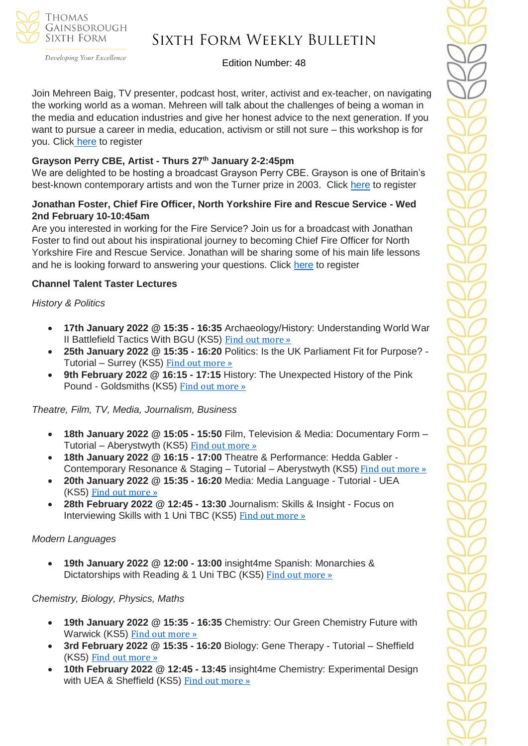

## Sixth Form Weekly Bulletin

Edition Number: 48

Join Mehreen Baig, TV presenter, podcast host, writer, activist and ex-teacher, on navigating the working world as a woman. Mehreen will talk about the challenges of being a woman in the media and education industries and give her honest advice to the next generation. If you want to pursue a career in media, education, activism or still not sure – this workshop is for you. Click [here](https://emea01.safelinks.protection.outlook.com/?url=https%3A%2F%2Fforms.office.com%2Fr%2F86Gr0AVmai&data=04%7C01%7C%7C23e5cb715cc44859a37308d9d5cab08f%7C84df9e7fe9f640afb435aaaaaaaaaaaa%7C1%7C0%7C637775888811535893%7CUnknown%7CTWFpbGZsb3d8eyJWIjoiMC4wLjAwMDAiLCJQIjoiV2luMzIiLCJBTiI6Ik1haWwiLCJXVCI6Mn0%3D%7C3000&sdata=xvc%2F7CJVR9eIPV9H5FQOo%2BcWATcB7C8qXsmNg25kYho%3D&reserved=0) to register

### **Grayson Perry CBE, Artist - Thurs 27th January 2-2:45pm**

We are delighted to be hosting a broadcast Grayson Perry CBE. Grayson is one of Britain's best-known contemporary artists and won the Turner prize in 2003. Click [here](https://emea01.safelinks.protection.outlook.com/?url=https%3A%2F%2Fforms.office.com%2Fr%2FAy1nZB12MK&data=04%7C01%7C%7C23e5cb715cc44859a37308d9d5cab08f%7C84df9e7fe9f640afb435aaaaaaaaaaaa%7C1%7C0%7C637775888811535893%7CUnknown%7CTWFpbGZsb3d8eyJWIjoiMC4wLjAwMDAiLCJQIjoiV2luMzIiLCJBTiI6Ik1haWwiLCJXVCI6Mn0%3D%7C3000&sdata=srJsk5fEKKsIL3gkpzBcD75l4OyxK95zROEcfHUFokc%3D&reserved=0) to register

### **Jonathan Foster, Chief Fire Officer, North Yorkshire Fire and Rescue Service - Wed 2nd February 10-10:45am**

Are you interested in working for the Fire Service? Join us for a broadcast with Jonathan Foster to find out about his inspirational journey to becoming Chief Fire Officer for North Yorkshire Fire and Rescue Service. Jonathan will be sharing some of his main life lessons and he is looking forward to answering your questions. Click [here](https://emea01.safelinks.protection.outlook.com/?url=https%3A%2F%2Fforms.office.com%2Fr%2FGFacLhpakH&data=04%7C01%7C%7C23e5cb715cc44859a37308d9d5cab08f%7C84df9e7fe9f640afb435aaaaaaaaaaaa%7C1%7C0%7C637775888811535893%7CUnknown%7CTWFpbGZsb3d8eyJWIjoiMC4wLjAwMDAiLCJQIjoiV2luMzIiLCJBTiI6Ik1haWwiLCJXVCI6Mn0%3D%7C3000&sdata=UljJGfWR3udHQIHvWTvf7G%2Fd7W9J%2FBttQrskRSXpbd4%3D&reserved=0) to register

### **Channel Talent Taster Lectures**

*History & Politics*

- **17th January 2022 @ 15:35 - 16:35** Archaeology/History: Understanding World War II Battlefield Tactics With BGU (KS5) Find out [more](https://channeltalent.us10.list-manage.com/track/click?u=145837fa6843e0c349598322a&id=dbfc35dc2b&e=ba0e9a2959) »
- **25th January 2022 @ 15:35 - 16:20** Politics: Is the UK Parliament Fit for Purpose? Tutorial – Surrey (KS5) Find out [more](https://channeltalent.us10.list-manage.com/track/click?u=145837fa6843e0c349598322a&id=5a1b17f109&e=ba0e9a2959) »
- **9th February 2022 @ 16:15 - 17:15** History: The Unexpected History of the Pink Pound - Goldsmiths (KS5) Find out [more](https://channeltalent.us10.list-manage.com/track/click?u=145837fa6843e0c349598322a&id=69a2a297d8&e=ba0e9a2959) »

*Theatre, Film, TV, Media, Journalism, Business*

- **18th January 2022 @ 15:05 - 15:50** Film, Television & Media: Documentary Form Tutorial – Aberystwyth (KS5) Find out [more](https://channeltalent.us10.list-manage.com/track/click?u=145837fa6843e0c349598322a&id=13849b7c8c&e=ba0e9a2959) »
- **18th January 2022 @ 16:15 - 17:00** Theatre & Performance: Hedda Gabler Contemporary Resonance & Staging – Tutorial – Aberystwyth (KS5) Find out [more](https://channeltalent.us10.list-manage.com/track/click?u=145837fa6843e0c349598322a&id=916c830e93&e=ba0e9a2959) »
- **20th January 2022 @ 15:35 - 16:20** Media: Media Language Tutorial UEA (KS5) Find out [more](https://channeltalent.us10.list-manage.com/track/click?u=145837fa6843e0c349598322a&id=dc5c992494&e=ba0e9a2959) »
- **28th February 2022 @ 12:45 - 13:30** Journalism: Skills & Insight Focus on Interviewing Skills with 1 Uni TBC (KS5) Find out [more](https://channeltalent.us10.list-manage.com/track/click?u=145837fa6843e0c349598322a&id=bd1025d0bd&e=ba0e9a2959) »

### *Modern Languages*

• **19th January 2022 @ 12:00 - 13:00** insight4me Spanish: Monarchies & Dictatorships with Reading & 1 Uni TBC (KS5) Find out [more](https://channeltalent.us10.list-manage.com/track/click?u=145837fa6843e0c349598322a&id=f1bb9fe595&e=ba0e9a2959) »

### *Chemistry, Biology, Physics, Maths*

- **19th January 2022 @ 15:35 - 16:35** Chemistry: Our Green Chemistry Future with Warwick (KS5) Find out [more](https://channeltalent.us10.list-manage.com/track/click?u=145837fa6843e0c349598322a&id=a29cfa502c&e=ba0e9a2959) »
- **3rd February 2022 @ 15:35 - 16:20** Biology: Gene Therapy Tutorial Sheffield (KS5) Find out [more](https://channeltalent.us10.list-manage.com/track/click?u=145837fa6843e0c349598322a&id=88c70695de&e=ba0e9a2959) »
- **10th February 2022 @ 12:45 - 13:45** insight4me Chemistry: Experimental Design with UEA & Sheffield (KS5) Find out [more](https://channeltalent.us10.list-manage.com/track/click?u=145837fa6843e0c349598322a&id=0de1d3e6d4&e=ba0e9a2959) »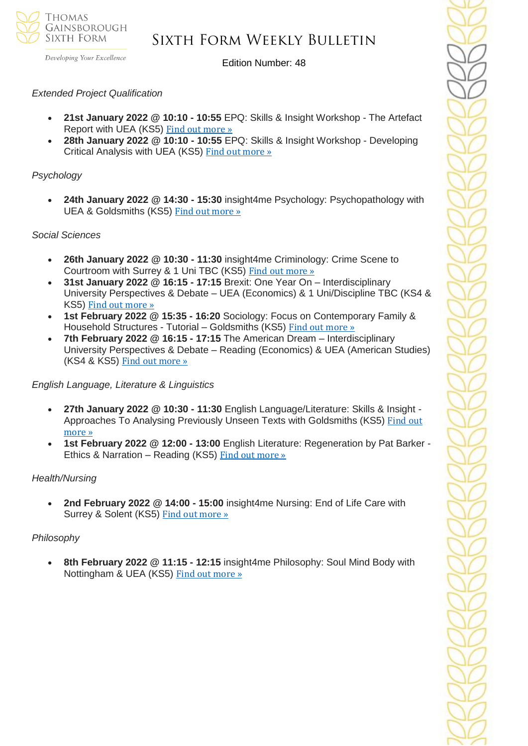

Developing Your Excellence

Edition Number: 48

#### *Extended Project Qualification*

- **21st January 2022 @ 10:10 - 10:55** EPQ: Skills & Insight Workshop The Artefact Report with UEA (KS5) Find out [more](https://channeltalent.us10.list-manage.com/track/click?u=145837fa6843e0c349598322a&id=7535bbadab&e=ba0e9a2959) »
- **28th January 2022 @ 10:10 - 10:55** EPQ: Skills & Insight Workshop Developing Critical Analysis with UEA (KS5) Find out [more](https://channeltalent.us10.list-manage.com/track/click?u=145837fa6843e0c349598322a&id=a7d6e9d347&e=ba0e9a2959) »

#### *Psychology*

• **24th January 2022 @ 14:30 - 15:30** insight4me Psychology: Psychopathology with UEA & Goldsmiths (KS5) Find out [more](https://channeltalent.us10.list-manage.com/track/click?u=145837fa6843e0c349598322a&id=c84637842b&e=ba0e9a2959) »

#### *Social Sciences*

- **26th January 2022 @ 10:30 - 11:30** insight4me Criminology: Crime Scene to Courtroom with Surrey & 1 Uni TBC (KS5) Find out [more](https://channeltalent.us10.list-manage.com/track/click?u=145837fa6843e0c349598322a&id=729e16b9de&e=ba0e9a2959) »
- **31st January 2022 @ 16:15 - 17:15** Brexit: One Year On Interdisciplinary University Perspectives & Debate – UEA (Economics) & 1 Uni/Discipline TBC (KS4 & KS5) Find out [more](https://channeltalent.us10.list-manage.com/track/click?u=145837fa6843e0c349598322a&id=20cdb4f422&e=ba0e9a2959) »
- **1st February 2022 @ 15:35 - 16:20** Sociology: Focus on Contemporary Family & Household Structures - Tutorial – Goldsmiths (KS5) Find out [more](https://channeltalent.us10.list-manage.com/track/click?u=145837fa6843e0c349598322a&id=67b99dd8aa&e=ba0e9a2959) »
- **7th February 2022 @ 16:15 - 17:15** The American Dream Interdisciplinary University Perspectives & Debate – Reading (Economics) & UEA (American Studies) (KS4 & KS5) Find out [more](https://channeltalent.us10.list-manage.com/track/click?u=145837fa6843e0c349598322a&id=d0f7a81ac6&e=ba0e9a2959) »

### *English Language, Literature & Linguistics*

- **27th January 2022 @ 10:30 - 11:30** English Language/Literature: Skills & Insight Approaches To Analysing Previously Unseen Texts with Goldsmiths (KS5) [Find](https://channeltalent.us10.list-manage.com/track/click?u=145837fa6843e0c349598322a&id=ac2afe1be9&e=ba0e9a2959) out [more](https://channeltalent.us10.list-manage.com/track/click?u=145837fa6843e0c349598322a&id=ac2afe1be9&e=ba0e9a2959) »
- **1st February 2022 @ 12:00 - 13:00** English Literature: Regeneration by Pat Barker Ethics & Narration – Reading (KS5) Find out [more](https://channeltalent.us10.list-manage.com/track/click?u=145837fa6843e0c349598322a&id=7fda4a3a4a&e=ba0e9a2959) »

#### *Health/Nursing*

• **2nd February 2022 @ 14:00 - 15:00** insight4me Nursing: End of Life Care with Surrey & Solent (KS5) Find out [more](https://channeltalent.us10.list-manage.com/track/click?u=145837fa6843e0c349598322a&id=8f2d18b189&e=ba0e9a2959) »

### *Philosophy*

• **8th February 2022 @ 11:15 - 12:15** insight4me Philosophy: Soul Mind Body with Nottingham & UEA (KS5) Find out [more](https://channeltalent.us10.list-manage.com/track/click?u=145837fa6843e0c349598322a&id=177f54b3a2&e=ba0e9a2959) »